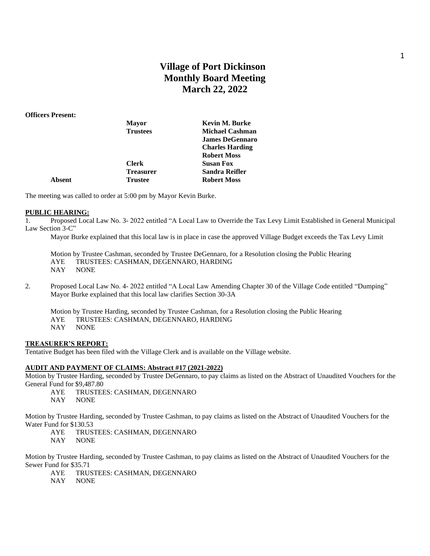# **Village of Port Dickinson Monthly Board Meeting March 22, 2022**

#### **Officers Present:**

|        | <b>Mayor</b>     | <b>Kevin M. Burke</b>  |
|--------|------------------|------------------------|
|        | <b>Trustees</b>  | <b>Michael Cashman</b> |
|        |                  | <b>James DeGennaro</b> |
|        |                  | <b>Charles Harding</b> |
|        |                  | <b>Robert Moss</b>     |
|        | <b>Clerk</b>     | <b>Susan Fox</b>       |
|        | <b>Treasurer</b> | Sandra Reifler         |
| Absent | <b>Trustee</b>   | <b>Robert Moss</b>     |
|        |                  |                        |

The meeting was called to order at 5:00 pm by Mayor Kevin Burke.

#### **PUBLIC HEARING:**

1. Proposed Local Law No. 3- 2022 entitled "A Local Law to Override the Tax Levy Limit Established in General Municipal Law Section 3-C"

Mayor Burke explained that this local law is in place in case the approved Village Budget exceeds the Tax Levy Limit

Motion by Trustee Cashman, seconded by Trustee DeGennaro, for a Resolution closing the Public Hearing AYE TRUSTEES: CASHMAN, DEGENNARO, HARDING NAY NONE

- 2. Proposed Local Law No. 4- 2022 entitled "A Local Law Amending Chapter 30 of the Village Code entitled "Dumping" Mayor Burke explained that this local law clarifies Section 30-3A
	- Motion by Trustee Harding, seconded by Trustee Cashman, for a Resolution closing the Public Hearing AYE TRUSTEES: CASHMAN, DEGENNARO, HARDING NAY NONE

#### **TREASURER'S REPORT:**

Tentative Budget has been filed with the Village Clerk and is available on the Village website.

## **AUDIT AND PAYMENT OF CLAIMS: Abstract #17 (2021-2022)**

Motion by Trustee Harding, seconded by Trustee DeGennaro, to pay claims as listed on the Abstract of Unaudited Vouchers for the General Fund for \$9,487.80

AYE TRUSTEES: CASHMAN, DEGENNARO

NAY NONE

Motion by Trustee Harding, seconded by Trustee Cashman, to pay claims as listed on the Abstract of Unaudited Vouchers for the Water Fund for \$130.53

AYE TRUSTEES: CASHMAN, DEGENNARO

NAY NONE

Motion by Trustee Harding, seconded by Trustee Cashman, to pay claims as listed on the Abstract of Unaudited Vouchers for the Sewer Fund for \$35.71

- AYE TRUSTEES: CASHMAN, DEGENNARO
- NAY NONE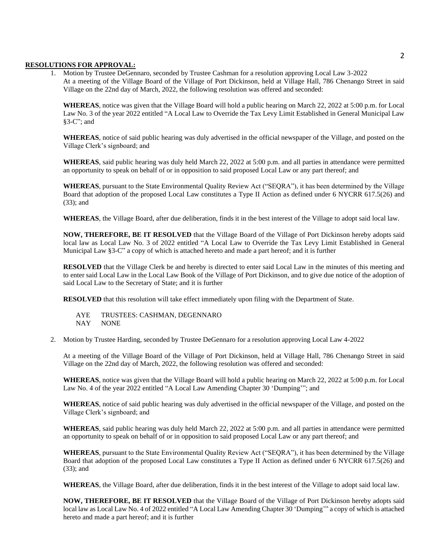#### **RESOLUTIONS FOR APPROVAL:**

1. Motion by Trustee DeGennaro, seconded by Trustee Cashman for a resolution approving Local Law 3-2022 At a meeting of the Village Board of the Village of Port Dickinson, held at Village Hall, 786 Chenango Street in said Village on the 22nd day of March, 2022, the following resolution was offered and seconded:

**WHEREAS**, notice was given that the Village Board will hold a public hearing on March 22, 2022 at 5:00 p.m. for Local Law No. 3 of the year 2022 entitled "A Local Law to Override the Tax Levy Limit Established in General Municipal Law §3-C"; and

**WHEREAS**, notice of said public hearing was duly advertised in the official newspaper of the Village, and posted on the Village Clerk's signboard; and

**WHEREAS**, said public hearing was duly held March 22, 2022 at 5:00 p.m. and all parties in attendance were permitted an opportunity to speak on behalf of or in opposition to said proposed Local Law or any part thereof; and

**WHEREAS**, pursuant to the State Environmental Quality Review Act ("SEQRA"), it has been determined by the Village Board that adoption of the proposed Local Law constitutes a Type II Action as defined under 6 NYCRR 617.5(26) and (33); and

**WHEREAS**, the Village Board, after due deliberation, finds it in the best interest of the Village to adopt said local law.

**NOW, THEREFORE, BE IT RESOLVED** that the Village Board of the Village of Port Dickinson hereby adopts said local law as Local Law No. 3 of 2022 entitled "A Local Law to Override the Tax Levy Limit Established in General Municipal Law §3-C" a copy of which is attached hereto and made a part hereof; and it is further

**RESOLVED** that the Village Clerk be and hereby is directed to enter said Local Law in the minutes of this meeting and to enter said Local Law in the Local Law Book of the Village of Port Dickinson, and to give due notice of the adoption of said Local Law to the Secretary of State; and it is further

**RESOLVED** that this resolution will take effect immediately upon filing with the Department of State.

AYE TRUSTEES: CASHMAN, DEGENNARO NAY NONE

2. Motion by Trustee Harding, seconded by Trustee DeGennaro for a resolution approving Local Law 4-2022

At a meeting of the Village Board of the Village of Port Dickinson, held at Village Hall, 786 Chenango Street in said Village on the 22nd day of March, 2022, the following resolution was offered and seconded:

**WHEREAS**, notice was given that the Village Board will hold a public hearing on March 22, 2022 at 5:00 p.m. for Local Law No. 4 of the year 2022 entitled "A Local Law Amending Chapter 30 'Dumping'"; and

**WHEREAS**, notice of said public hearing was duly advertised in the official newspaper of the Village, and posted on the Village Clerk's signboard; and

**WHEREAS**, said public hearing was duly held March 22, 2022 at 5:00 p.m. and all parties in attendance were permitted an opportunity to speak on behalf of or in opposition to said proposed Local Law or any part thereof; and

**WHEREAS**, pursuant to the State Environmental Quality Review Act ("SEQRA"), it has been determined by the Village Board that adoption of the proposed Local Law constitutes a Type II Action as defined under 6 NYCRR 617.5(26) and (33); and

**WHEREAS**, the Village Board, after due deliberation, finds it in the best interest of the Village to adopt said local law.

**NOW, THEREFORE, BE IT RESOLVED** that the Village Board of the Village of Port Dickinson hereby adopts said local law as Local Law No. 4 of 2022 entitled "A Local Law Amending Chapter 30 'Dumping'" a copy of which is attached hereto and made a part hereof; and it is further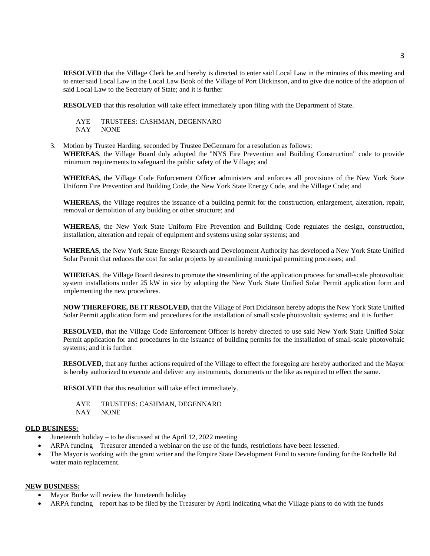**RESOLVED** that the Village Clerk be and hereby is directed to enter said Local Law in the minutes of this meeting and to enter said Local Law in the Local Law Book of the Village of Port Dickinson, and to give due notice of the adoption of said Local Law to the Secretary of State; and it is further

**RESOLVED** that this resolution will take effect immediately upon filing with the Department of State.

AYE TRUSTEES: CASHMAN, DEGENNARO NAY NONE

3. Motion by Trustee Harding, seconded by Trustee DeGennaro for a resolution as follows: **WHEREAS**, the Village Board duly adopted the "NYS Fire Prevention and Building Construction" code to provide minimum requirements to safeguard the public safety of the Village; and

**WHEREAS,** the Village Code Enforcement Officer administers and enforces all provisions of the New York State Uniform Fire Prevention and Building Code, the New York State Energy Code, and the Village Code; and

**WHEREAS,** the Village requires the issuance of a building permit for the construction, enlargement, alteration, repair, removal or demolition of any building or other structure; and

**WHEREAS**, the New York State Uniform Fire Prevention and Building Code regulates the design, construction, installation, alteration and repair of equipment and systems using solar systems; and

**WHEREAS**, the New York State Energy Research and Development Authority has developed a New York State Unified Solar Permit that reduces the cost for solar projects by streamlining municipal permitting processes; and

**WHEREAS**, the Village Board desires to promote the streamlining of the application process for small-scale photovoltaic system installations under 25 kW in size by adopting the New York State Unified Solar Permit application form and implementing the new procedures.

**NOW THEREFORE, BE IT RESOLVED,** that the Village of Port Dickinson hereby adopts the New York State Unified Solar Permit application form and procedures for the installation of small scale photovoltaic systems; and it is further

**RESOLVED,** that the Village Code Enforcement Officer is hereby directed to use said New York State Unified Solar Permit application for and procedures in the issuance of building permits for the installation of small-scale photovoltaic systems; and it is further

**RESOLVED,** that any further actions required of the Village to effect the foregoing are hereby authorized and the Mayor is hereby authorized to execute and deliver any instruments, documents or the like as required to effect the same.

**RESOLVED** that this resolution will take effect immediately.

AYE TRUSTEES: CASHMAN, DEGENNARO NAY NONE

#### **OLD BUSINESS:**

- Juneteenth holiday to be discussed at the April 12, 2022 meeting
- ARPA funding Treasurer attended a webinar on the use of the funds, restrictions have been lessened.
- The Mayor is working with the grant writer and the Empire State Development Fund to secure funding for the Rochelle Rd water main replacement.

#### **NEW BUSINESS:**

- Mayor Burke will review the Juneteenth holiday
- ARPA funding report has to be filed by the Treasurer by April indicating what the Village plans to do with the funds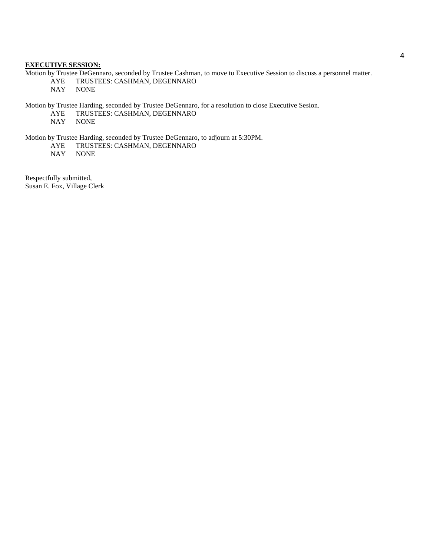#### **EXECUTIVE SESSION:**

Motion by Trustee DeGennaro, seconded by Trustee Cashman, to move to Executive Session to discuss a personnel matter. AYE TRUSTEES: CASHMAN, DEGENNARO<br>NAY NONE **NONE** 

Motion by Trustee Harding, seconded by Trustee DeGennaro, for a resolution to close Executive Sesion.

AYE TRUSTEES: CASHMAN, DEGENNARO NAY NONE

**NONE** 

Motion by Trustee Harding, seconded by Trustee DeGennaro, to adjourn at 5:30PM.

AYE TRUSTEES: CASHMAN, DEGENNARO

NAY NONE

Respectfully submitted, Susan E. Fox, Village Clerk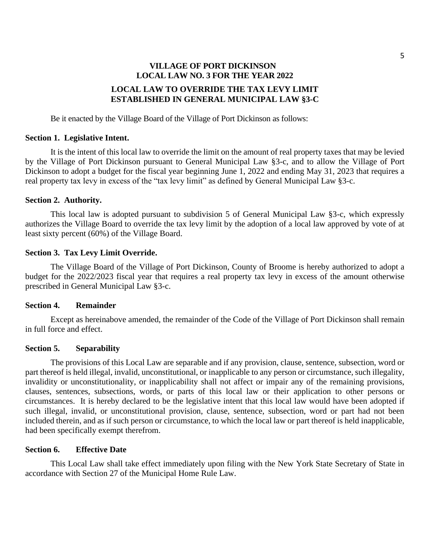# **VILLAGE OF PORT DICKINSON LOCAL LAW NO. 3 FOR THE YEAR 2022 LOCAL LAW TO OVERRIDE THE TAX LEVY LIMIT ESTABLISHED IN GENERAL MUNICIPAL LAW §3-C**

Be it enacted by the Village Board of the Village of Port Dickinson as follows:

## **Section 1. Legislative Intent.**

It is the intent of this local law to override the limit on the amount of real property taxes that may be levied by the Village of Port Dickinson pursuant to General Municipal Law §3-c, and to allow the Village of Port Dickinson to adopt a budget for the fiscal year beginning June 1, 2022 and ending May 31, 2023 that requires a real property tax levy in excess of the "tax levy limit" as defined by General Municipal Law §3-c.

## **Section 2. Authority.**

This local law is adopted pursuant to subdivision 5 of General Municipal Law §3-c, which expressly authorizes the Village Board to override the tax levy limit by the adoption of a local law approved by vote of at least sixty percent (60%) of the Village Board.

## **Section 3. Tax Levy Limit Override.**

The Village Board of the Village of Port Dickinson, County of Broome is hereby authorized to adopt a budget for the 2022/2023 fiscal year that requires a real property tax levy in excess of the amount otherwise prescribed in General Municipal Law §3-c.

## **Section 4. Remainder**

Except as hereinabove amended, the remainder of the Code of the Village of Port Dickinson shall remain in full force and effect.

# **Section 5. Separability**

The provisions of this Local Law are separable and if any provision, clause, sentence, subsection, word or part thereof is held illegal, invalid, unconstitutional, or inapplicable to any person or circumstance, such illegality, invalidity or unconstitutionality, or inapplicability shall not affect or impair any of the remaining provisions, clauses, sentences, subsections, words, or parts of this local law or their application to other persons or circumstances. It is hereby declared to be the legislative intent that this local law would have been adopted if such illegal, invalid, or unconstitutional provision, clause, sentence, subsection, word or part had not been included therein, and as if such person or circumstance, to which the local law or part thereof is held inapplicable, had been specifically exempt therefrom.

# **Section 6. Effective Date**

This Local Law shall take effect immediately upon filing with the New York State Secretary of State in accordance with Section 27 of the Municipal Home Rule Law.